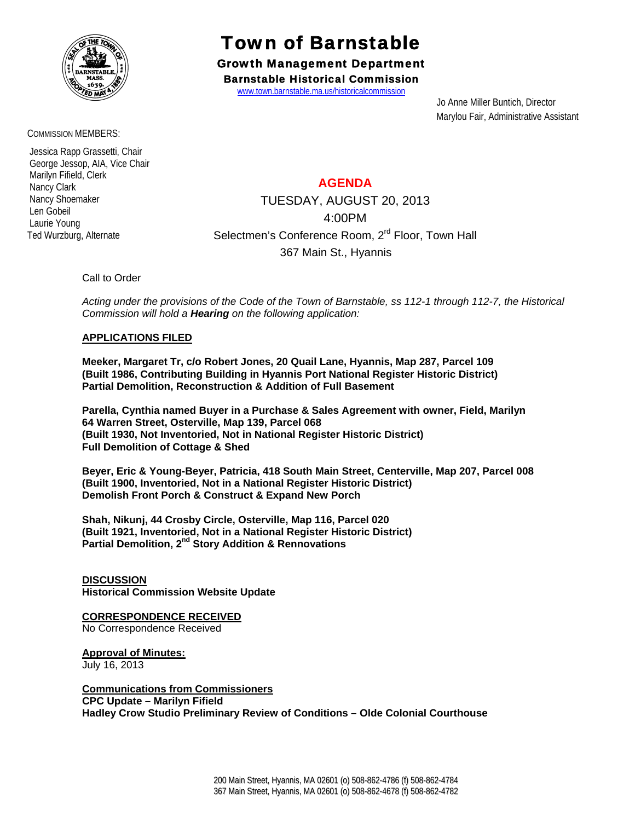

#### COMMISSION MEMBERS:

 Jessica Rapp Grassetti, Chair George Jessop, AIA, Vice Chair Marilyn Fifield, Clerk Nancy Clark Nancy Shoemaker Len Gobeil Laurie Young Ted Wurzburg, Alternate

# Town of Barnstable

Growth Management Department Barnstable Historical Commission

www.town.barnstable.ma.us/historicalcommission

 Jo Anne Miller Buntich, Director Marylou Fair, Administrative Assistant

### **AGENDA**

TUESDAY, AUGUST 20, 2013 4:00PM Selectmen's Conference Room, 2<sup>rd</sup> Floor, Town Hall 367 Main St., Hyannis

#### Call to Order

*Acting under the provisions of the Code of the Town of Barnstable, ss 112-1 through 112-7, the Historical Commission will hold a Hearing on the following application:* 

#### **APPLICATIONS FILED**

**Meeker, Margaret Tr, c/o Robert Jones, 20 Quail Lane, Hyannis, Map 287, Parcel 109 (Built 1986, Contributing Building in Hyannis Port National Register Historic District) Partial Demolition, Reconstruction & Addition of Full Basement** 

**Parella, Cynthia named Buyer in a Purchase & Sales Agreement with owner, Field, Marilyn 64 Warren Street, Osterville, Map 139, Parcel 068 (Built 1930, Not Inventoried, Not in National Register Historic District) Full Demolition of Cottage & Shed** 

**Beyer, Eric & Young-Beyer, Patricia, 418 South Main Street, Centerville, Map 207, Parcel 008 (Built 1900, Inventoried, Not in a National Register Historic District) Demolish Front Porch & Construct & Expand New Porch** 

**Shah, Nikunj, 44 Crosby Circle, Osterville, Map 116, Parcel 020 (Built 1921, Inventoried, Not in a National Register Historic District) Partial Demolition, 2nd Story Addition & Rennovations** 

**DISCUSSION Historical Commission Website Update** 

## **CORRESPONDENCE RECEIVED**

No Correspondence Received

**Approval of Minutes:** July 16, 2013

**Communications from Commissioners CPC Update – Marilyn Fifield Hadley Crow Studio Preliminary Review of Conditions – Olde Colonial Courthouse**